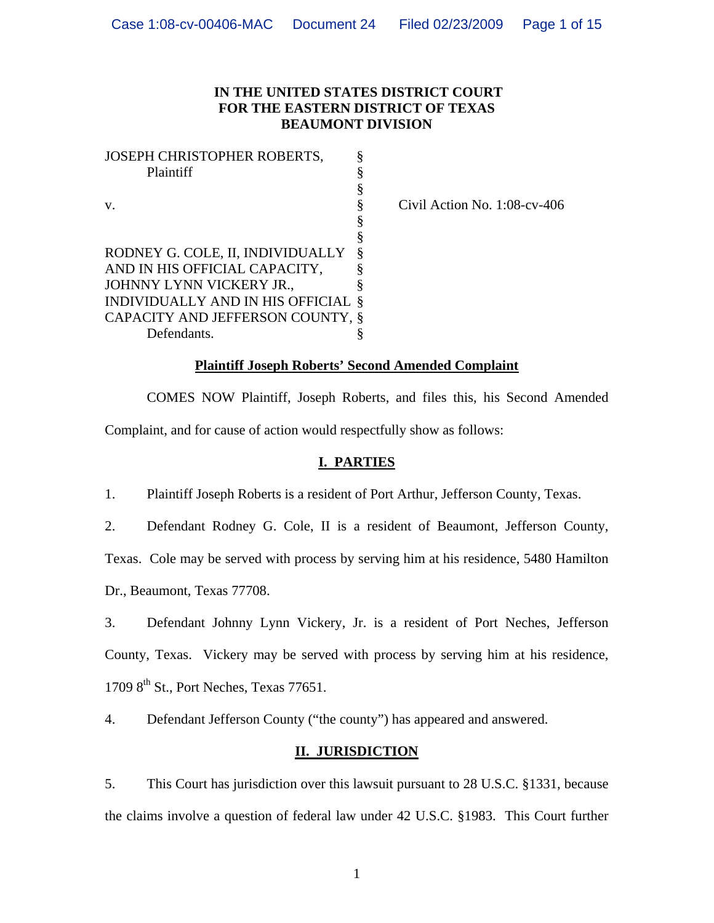## **IN THE UNITED STATES DISTRICT COURT FOR THE EASTERN DISTRICT OF TEXAS BEAUMONT DIVISION**

| §<br>Plaintiff<br>§<br>§<br>V.<br>§<br>§<br>§<br>RODNEY G. COLE, II, INDIVIDUALLY<br>ş<br>AND IN HIS OFFICIAL CAPACITY, |
|-------------------------------------------------------------------------------------------------------------------------|
|                                                                                                                         |
|                                                                                                                         |
|                                                                                                                         |
|                                                                                                                         |
|                                                                                                                         |
|                                                                                                                         |
|                                                                                                                         |
| JOHNNY LYNN VICKERY JR.,<br>Ş                                                                                           |
| INDIVIDUALLY AND IN HIS OFFICIAL<br>\$                                                                                  |
| CAPACITY AND JEFFERSON COUNTY,<br>8                                                                                     |
| Defendants.                                                                                                             |

Civil Action No. 1:08-cv-406

### **Plaintiff Joseph Roberts' Second Amended Complaint**

 COMES NOW Plaintiff, Joseph Roberts, and files this, his Second Amended Complaint, and for cause of action would respectfully show as follows:

# **I. PARTIES**

1. Plaintiff Joseph Roberts is a resident of Port Arthur, Jefferson County, Texas.

2. Defendant Rodney G. Cole, II is a resident of Beaumont, Jefferson County,

Texas. Cole may be served with process by serving him at his residence, 5480 Hamilton

Dr., Beaumont, Texas 77708.

3. Defendant Johnny Lynn Vickery, Jr. is a resident of Port Neches, Jefferson County, Texas. Vickery may be served with process by serving him at his residence,  $17098^{\text{th}}$  St., Port Neches, Texas 77651.

4. Defendant Jefferson County ("the county") has appeared and answered.

# **II. JURISDICTION**

5. This Court has jurisdiction over this lawsuit pursuant to 28 U.S.C. §1331, because the claims involve a question of federal law under 42 U.S.C. §1983. This Court further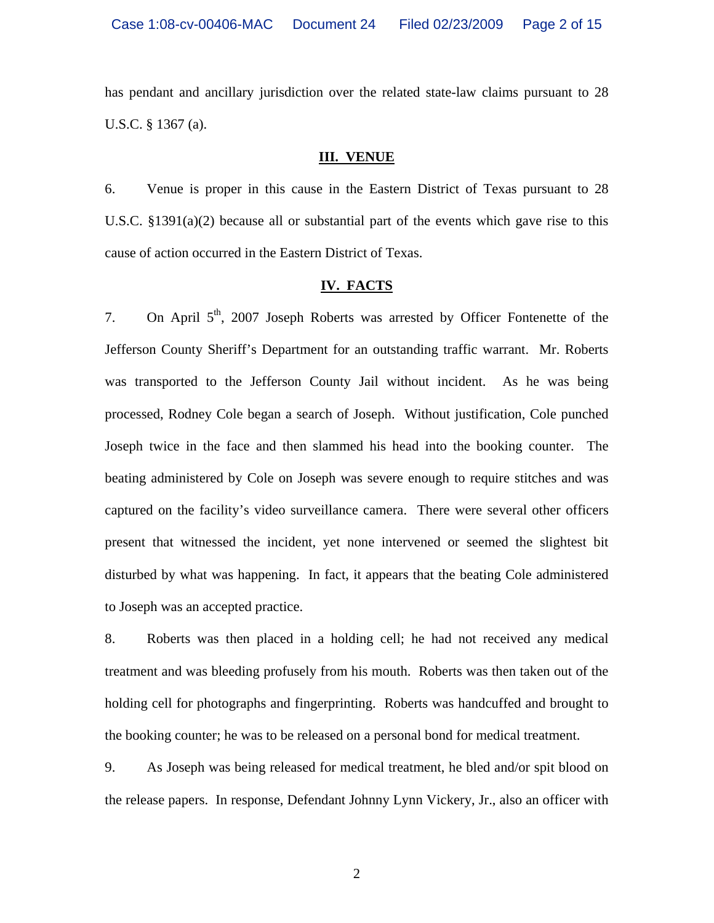has pendant and ancillary jurisdiction over the related state-law claims pursuant to 28 U.S.C. § 1367 (a).

### **III. VENUE**

6. Venue is proper in this cause in the Eastern District of Texas pursuant to 28 U.S.C. §1391(a)(2) because all or substantial part of the events which gave rise to this cause of action occurred in the Eastern District of Texas.

## **IV. FACTS**

7. On April  $5<sup>th</sup>$ , 2007 Joseph Roberts was arrested by Officer Fontenette of the Jefferson County Sheriff's Department for an outstanding traffic warrant. Mr. Roberts was transported to the Jefferson County Jail without incident. As he was being processed, Rodney Cole began a search of Joseph. Without justification, Cole punched Joseph twice in the face and then slammed his head into the booking counter. The beating administered by Cole on Joseph was severe enough to require stitches and was captured on the facility's video surveillance camera. There were several other officers present that witnessed the incident, yet none intervened or seemed the slightest bit disturbed by what was happening. In fact, it appears that the beating Cole administered to Joseph was an accepted practice.

8. Roberts was then placed in a holding cell; he had not received any medical treatment and was bleeding profusely from his mouth. Roberts was then taken out of the holding cell for photographs and fingerprinting. Roberts was handcuffed and brought to the booking counter; he was to be released on a personal bond for medical treatment.

9. As Joseph was being released for medical treatment, he bled and/or spit blood on the release papers. In response, Defendant Johnny Lynn Vickery, Jr., also an officer with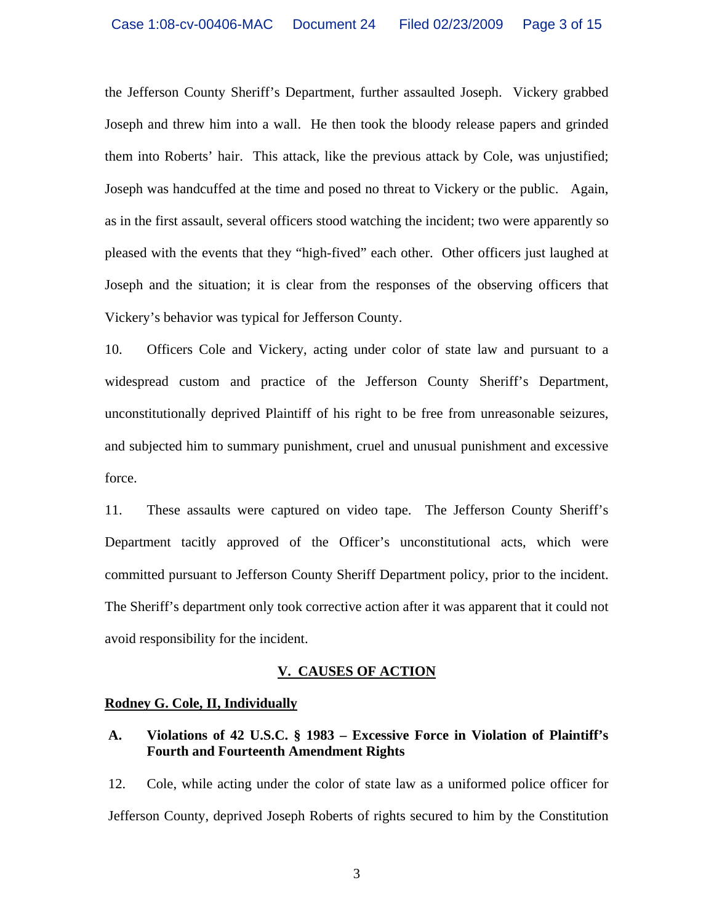the Jefferson County Sheriff's Department, further assaulted Joseph. Vickery grabbed Joseph and threw him into a wall. He then took the bloody release papers and grinded them into Roberts' hair. This attack, like the previous attack by Cole, was unjustified; Joseph was handcuffed at the time and posed no threat to Vickery or the public. Again, as in the first assault, several officers stood watching the incident; two were apparently so pleased with the events that they "high-fived" each other. Other officers just laughed at Joseph and the situation; it is clear from the responses of the observing officers that Vickery's behavior was typical for Jefferson County.

10. Officers Cole and Vickery, acting under color of state law and pursuant to a widespread custom and practice of the Jefferson County Sheriff's Department, unconstitutionally deprived Plaintiff of his right to be free from unreasonable seizures, and subjected him to summary punishment, cruel and unusual punishment and excessive force.

11. These assaults were captured on video tape. The Jefferson County Sheriff's Department tacitly approved of the Officer's unconstitutional acts, which were committed pursuant to Jefferson County Sheriff Department policy, prior to the incident. The Sheriff's department only took corrective action after it was apparent that it could not avoid responsibility for the incident.

### **V. CAUSES OF ACTION**

### **Rodney G. Cole, II, Individually**

### **A. Violations of 42 U.S.C. § 1983 – Excessive Force in Violation of Plaintiff's Fourth and Fourteenth Amendment Rights**

12. Cole, while acting under the color of state law as a uniformed police officer for Jefferson County, deprived Joseph Roberts of rights secured to him by the Constitution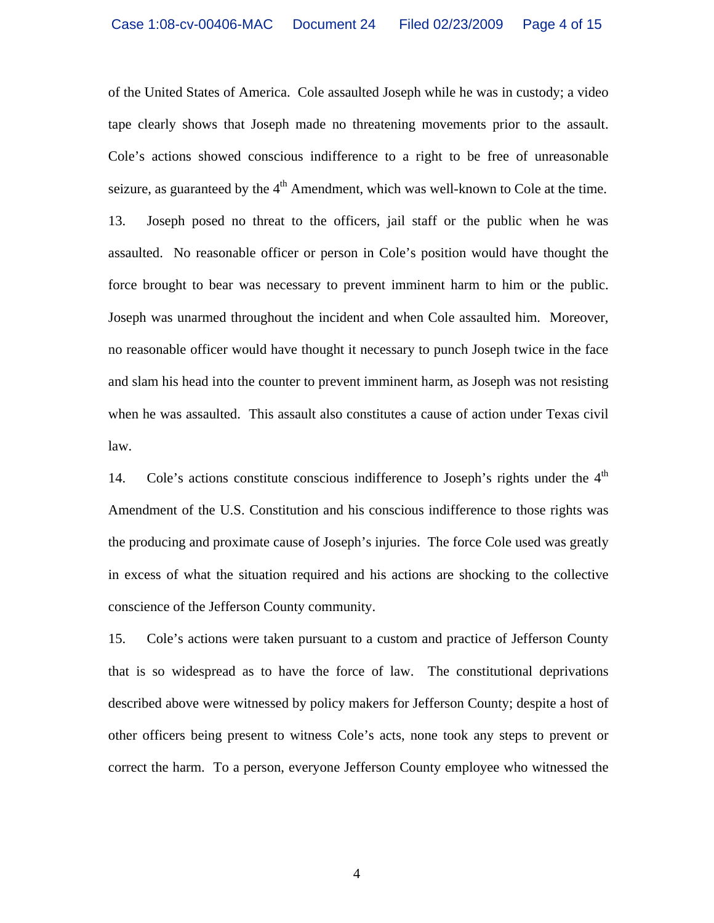of the United States of America. Cole assaulted Joseph while he was in custody; a video tape clearly shows that Joseph made no threatening movements prior to the assault. Cole's actions showed conscious indifference to a right to be free of unreasonable seizure, as guaranteed by the  $4<sup>th</sup>$  Amendment, which was well-known to Cole at the time. 13. Joseph posed no threat to the officers, jail staff or the public when he was assaulted. No reasonable officer or person in Cole's position would have thought the force brought to bear was necessary to prevent imminent harm to him or the public. Joseph was unarmed throughout the incident and when Cole assaulted him. Moreover, no reasonable officer would have thought it necessary to punch Joseph twice in the face and slam his head into the counter to prevent imminent harm, as Joseph was not resisting when he was assaulted. This assault also constitutes a cause of action under Texas civil law.

14. Cole's actions constitute conscious indifference to Joseph's rights under the  $4<sup>th</sup>$ Amendment of the U.S. Constitution and his conscious indifference to those rights was the producing and proximate cause of Joseph's injuries. The force Cole used was greatly in excess of what the situation required and his actions are shocking to the collective conscience of the Jefferson County community.

15. Cole's actions were taken pursuant to a custom and practice of Jefferson County that is so widespread as to have the force of law. The constitutional deprivations described above were witnessed by policy makers for Jefferson County; despite a host of other officers being present to witness Cole's acts, none took any steps to prevent or correct the harm. To a person, everyone Jefferson County employee who witnessed the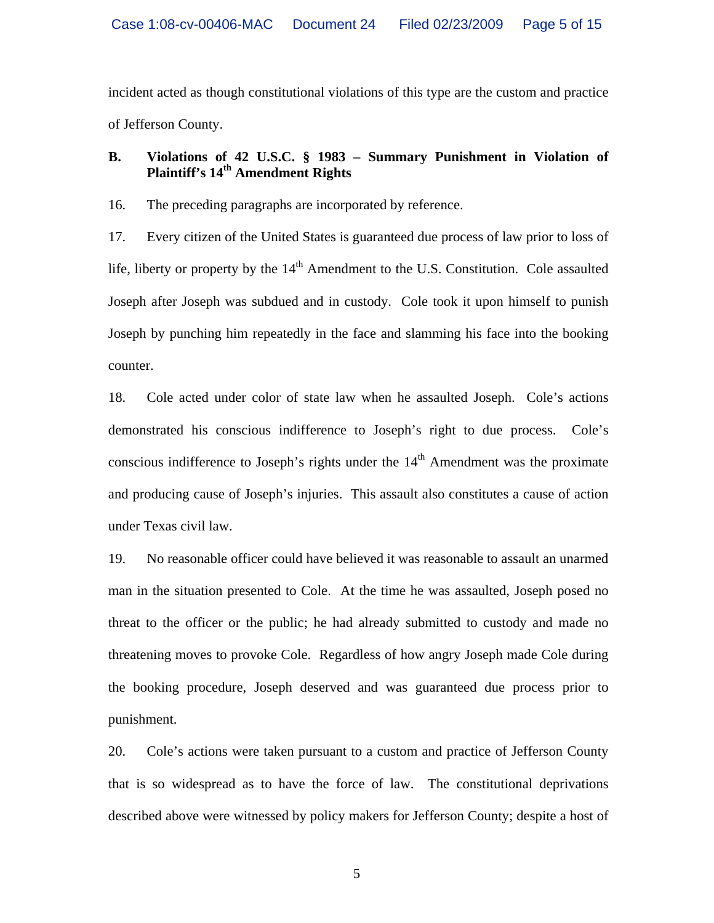incident acted as though constitutional violations of this type are the custom and practice of Jefferson County.

# **B. Violations of 42 U.S.C. § 1983 – Summary Punishment in Violation of Plaintiff's 14th Amendment Rights**

16. The preceding paragraphs are incorporated by reference.

17. Every citizen of the United States is guaranteed due process of law prior to loss of life, liberty or property by the  $14<sup>th</sup>$  Amendment to the U.S. Constitution. Cole assaulted Joseph after Joseph was subdued and in custody. Cole took it upon himself to punish Joseph by punching him repeatedly in the face and slamming his face into the booking counter.

18. Cole acted under color of state law when he assaulted Joseph. Cole's actions demonstrated his conscious indifference to Joseph's right to due process. Cole's conscious indifference to Joseph's rights under the  $14<sup>th</sup>$  Amendment was the proximate and producing cause of Joseph's injuries. This assault also constitutes a cause of action under Texas civil law.

19. No reasonable officer could have believed it was reasonable to assault an unarmed man in the situation presented to Cole. At the time he was assaulted, Joseph posed no threat to the officer or the public; he had already submitted to custody and made no threatening moves to provoke Cole. Regardless of how angry Joseph made Cole during the booking procedure, Joseph deserved and was guaranteed due process prior to punishment.

20. Cole's actions were taken pursuant to a custom and practice of Jefferson County that is so widespread as to have the force of law. The constitutional deprivations described above were witnessed by policy makers for Jefferson County; despite a host of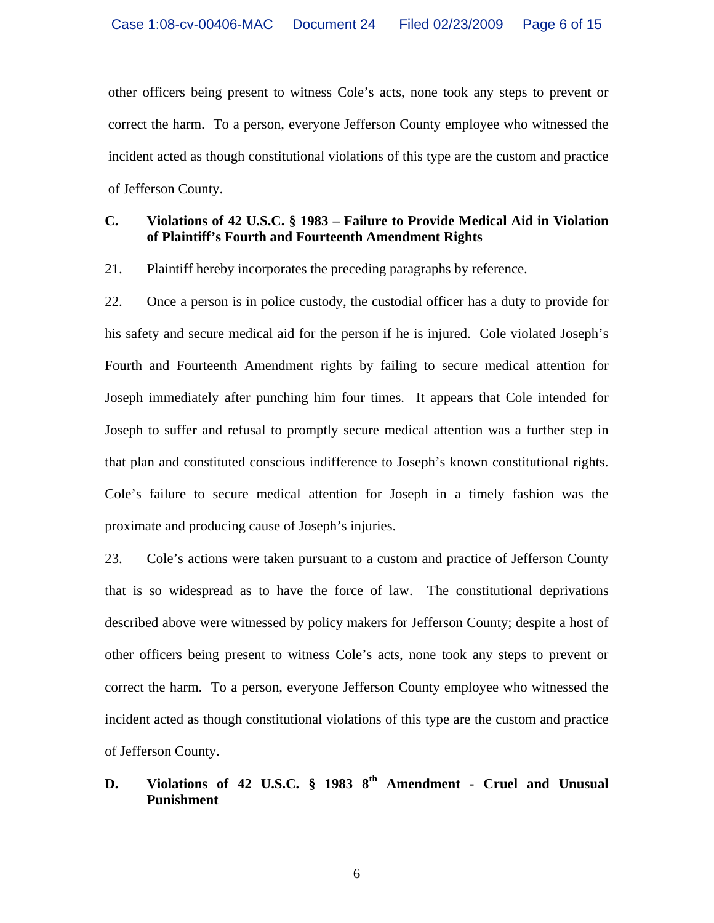other officers being present to witness Cole's acts, none took any steps to prevent or correct the harm. To a person, everyone Jefferson County employee who witnessed the incident acted as though constitutional violations of this type are the custom and practice of Jefferson County.

## **C. Violations of 42 U.S.C. § 1983 – Failure to Provide Medical Aid in Violation of Plaintiff's Fourth and Fourteenth Amendment Rights**

21. Plaintiff hereby incorporates the preceding paragraphs by reference.

22. Once a person is in police custody, the custodial officer has a duty to provide for his safety and secure medical aid for the person if he is injured. Cole violated Joseph's Fourth and Fourteenth Amendment rights by failing to secure medical attention for Joseph immediately after punching him four times. It appears that Cole intended for Joseph to suffer and refusal to promptly secure medical attention was a further step in that plan and constituted conscious indifference to Joseph's known constitutional rights. Cole's failure to secure medical attention for Joseph in a timely fashion was the proximate and producing cause of Joseph's injuries.

23. Cole's actions were taken pursuant to a custom and practice of Jefferson County that is so widespread as to have the force of law. The constitutional deprivations described above were witnessed by policy makers for Jefferson County; despite a host of other officers being present to witness Cole's acts, none took any steps to prevent or correct the harm. To a person, everyone Jefferson County employee who witnessed the incident acted as though constitutional violations of this type are the custom and practice of Jefferson County.

# **D. Violations of 42 U.S.C. § 1983 8th Amendment - Cruel and Unusual Punishment**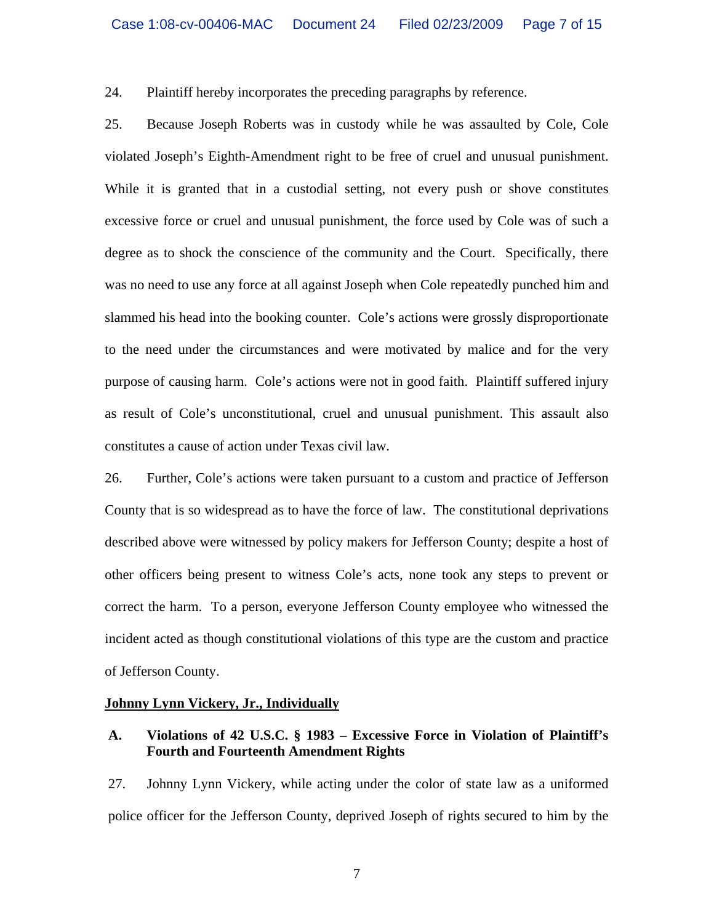24. Plaintiff hereby incorporates the preceding paragraphs by reference.

25. Because Joseph Roberts was in custody while he was assaulted by Cole, Cole violated Joseph's Eighth-Amendment right to be free of cruel and unusual punishment. While it is granted that in a custodial setting, not every push or shove constitutes excessive force or cruel and unusual punishment, the force used by Cole was of such a degree as to shock the conscience of the community and the Court. Specifically, there was no need to use any force at all against Joseph when Cole repeatedly punched him and slammed his head into the booking counter. Cole's actions were grossly disproportionate to the need under the circumstances and were motivated by malice and for the very purpose of causing harm. Cole's actions were not in good faith. Plaintiff suffered injury as result of Cole's unconstitutional, cruel and unusual punishment. This assault also constitutes a cause of action under Texas civil law.

26. Further, Cole's actions were taken pursuant to a custom and practice of Jefferson County that is so widespread as to have the force of law. The constitutional deprivations described above were witnessed by policy makers for Jefferson County; despite a host of other officers being present to witness Cole's acts, none took any steps to prevent or correct the harm. To a person, everyone Jefferson County employee who witnessed the incident acted as though constitutional violations of this type are the custom and practice of Jefferson County.

#### **Johnny Lynn Vickery, Jr., Individually**

### **A. Violations of 42 U.S.C. § 1983 – Excessive Force in Violation of Plaintiff's Fourth and Fourteenth Amendment Rights**

27. Johnny Lynn Vickery, while acting under the color of state law as a uniformed police officer for the Jefferson County, deprived Joseph of rights secured to him by the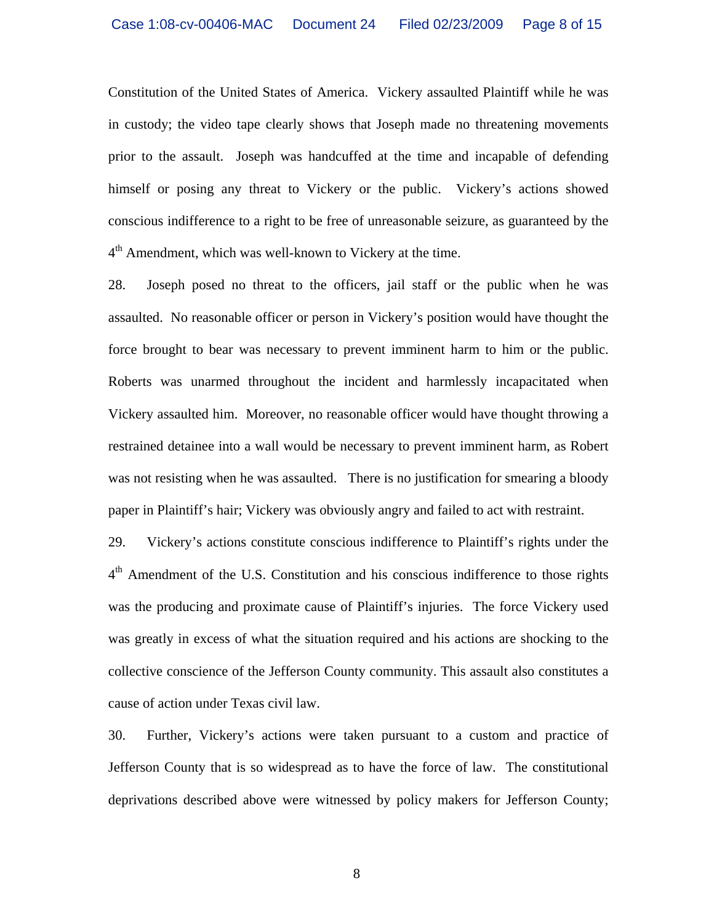Constitution of the United States of America. Vickery assaulted Plaintiff while he was in custody; the video tape clearly shows that Joseph made no threatening movements prior to the assault. Joseph was handcuffed at the time and incapable of defending himself or posing any threat to Vickery or the public. Vickery's actions showed conscious indifference to a right to be free of unreasonable seizure, as guaranteed by the  $4<sup>th</sup>$  Amendment, which was well-known to Vickery at the time.

28. Joseph posed no threat to the officers, jail staff or the public when he was assaulted. No reasonable officer or person in Vickery's position would have thought the force brought to bear was necessary to prevent imminent harm to him or the public. Roberts was unarmed throughout the incident and harmlessly incapacitated when Vickery assaulted him. Moreover, no reasonable officer would have thought throwing a restrained detainee into a wall would be necessary to prevent imminent harm, as Robert was not resisting when he was assaulted. There is no justification for smearing a bloody paper in Plaintiff's hair; Vickery was obviously angry and failed to act with restraint.

29. Vickery's actions constitute conscious indifference to Plaintiff's rights under the 4<sup>th</sup> Amendment of the U.S. Constitution and his conscious indifference to those rights was the producing and proximate cause of Plaintiff's injuries. The force Vickery used was greatly in excess of what the situation required and his actions are shocking to the collective conscience of the Jefferson County community. This assault also constitutes a cause of action under Texas civil law.

30. Further, Vickery's actions were taken pursuant to a custom and practice of Jefferson County that is so widespread as to have the force of law. The constitutional deprivations described above were witnessed by policy makers for Jefferson County;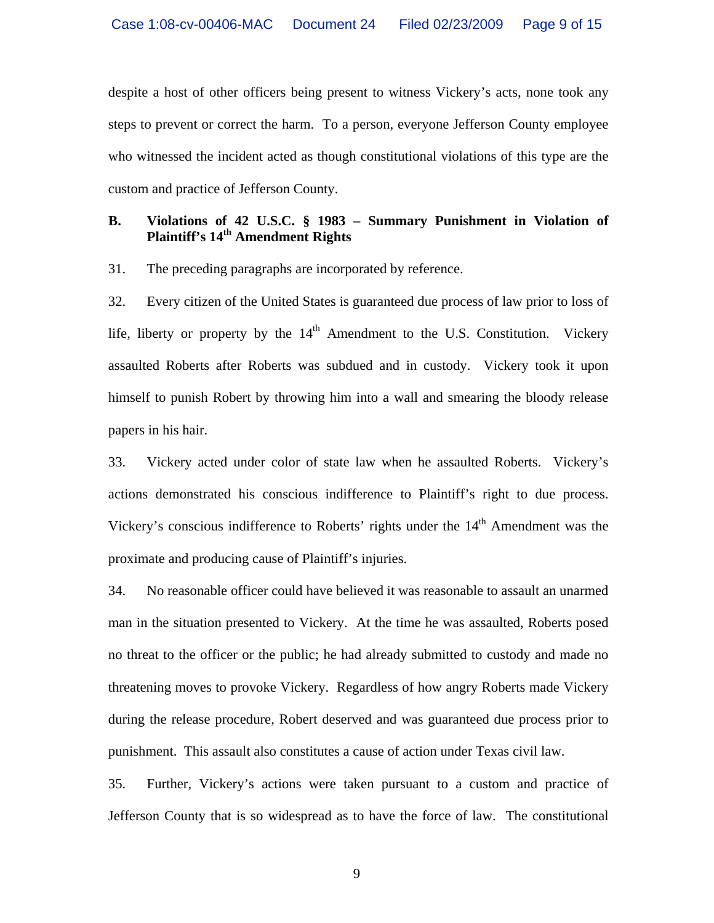despite a host of other officers being present to witness Vickery's acts, none took any steps to prevent or correct the harm. To a person, everyone Jefferson County employee who witnessed the incident acted as though constitutional violations of this type are the custom and practice of Jefferson County.

# **B. Violations of 42 U.S.C. § 1983 – Summary Punishment in Violation of Plaintiff's 14th Amendment Rights**

31. The preceding paragraphs are incorporated by reference.

32. Every citizen of the United States is guaranteed due process of law prior to loss of life, liberty or property by the  $14<sup>th</sup>$  Amendment to the U.S. Constitution. Vickery assaulted Roberts after Roberts was subdued and in custody. Vickery took it upon himself to punish Robert by throwing him into a wall and smearing the bloody release papers in his hair.

33. Vickery acted under color of state law when he assaulted Roberts. Vickery's actions demonstrated his conscious indifference to Plaintiff's right to due process. Vickery's conscious indifference to Roberts' rights under the 14<sup>th</sup> Amendment was the proximate and producing cause of Plaintiff's injuries.

34. No reasonable officer could have believed it was reasonable to assault an unarmed man in the situation presented to Vickery. At the time he was assaulted, Roberts posed no threat to the officer or the public; he had already submitted to custody and made no threatening moves to provoke Vickery. Regardless of how angry Roberts made Vickery during the release procedure, Robert deserved and was guaranteed due process prior to punishment. This assault also constitutes a cause of action under Texas civil law.

35. Further, Vickery's actions were taken pursuant to a custom and practice of Jefferson County that is so widespread as to have the force of law. The constitutional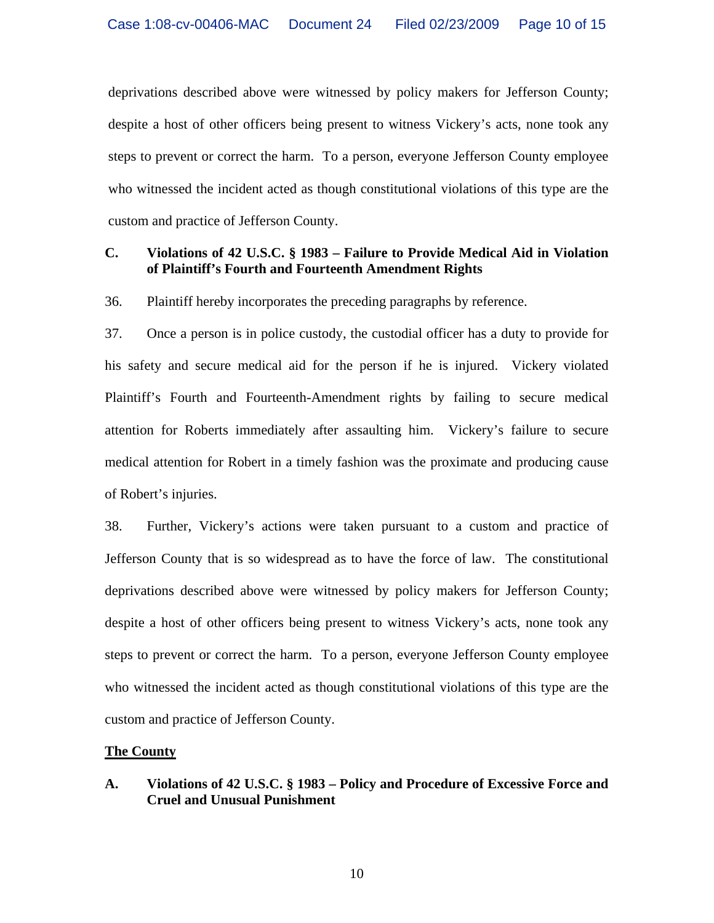deprivations described above were witnessed by policy makers for Jefferson County; despite a host of other officers being present to witness Vickery's acts, none took any steps to prevent or correct the harm. To a person, everyone Jefferson County employee who witnessed the incident acted as though constitutional violations of this type are the custom and practice of Jefferson County.

## **C. Violations of 42 U.S.C. § 1983 – Failure to Provide Medical Aid in Violation of Plaintiff's Fourth and Fourteenth Amendment Rights**

36. Plaintiff hereby incorporates the preceding paragraphs by reference.

37. Once a person is in police custody, the custodial officer has a duty to provide for his safety and secure medical aid for the person if he is injured. Vickery violated Plaintiff's Fourth and Fourteenth-Amendment rights by failing to secure medical attention for Roberts immediately after assaulting him. Vickery's failure to secure medical attention for Robert in a timely fashion was the proximate and producing cause of Robert's injuries.

38. Further, Vickery's actions were taken pursuant to a custom and practice of Jefferson County that is so widespread as to have the force of law. The constitutional deprivations described above were witnessed by policy makers for Jefferson County; despite a host of other officers being present to witness Vickery's acts, none took any steps to prevent or correct the harm. To a person, everyone Jefferson County employee who witnessed the incident acted as though constitutional violations of this type are the custom and practice of Jefferson County.

### **The County**

## **A. Violations of 42 U.S.C. § 1983 – Policy and Procedure of Excessive Force and Cruel and Unusual Punishment**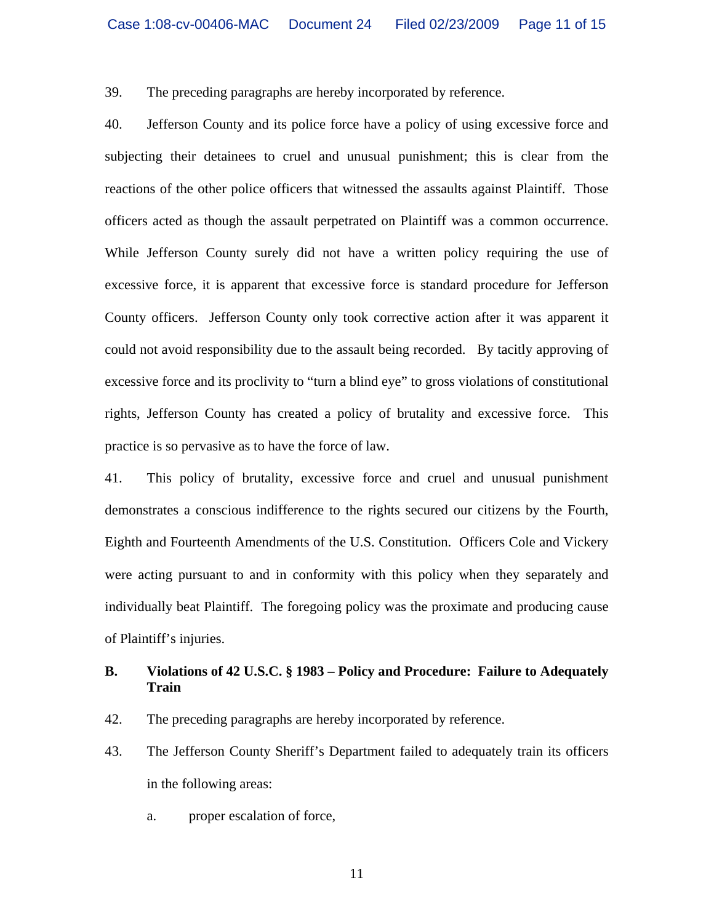39. The preceding paragraphs are hereby incorporated by reference.

40. Jefferson County and its police force have a policy of using excessive force and subjecting their detainees to cruel and unusual punishment; this is clear from the reactions of the other police officers that witnessed the assaults against Plaintiff. Those officers acted as though the assault perpetrated on Plaintiff was a common occurrence. While Jefferson County surely did not have a written policy requiring the use of excessive force, it is apparent that excessive force is standard procedure for Jefferson County officers. Jefferson County only took corrective action after it was apparent it could not avoid responsibility due to the assault being recorded. By tacitly approving of excessive force and its proclivity to "turn a blind eye" to gross violations of constitutional rights, Jefferson County has created a policy of brutality and excessive force. This practice is so pervasive as to have the force of law.

41. This policy of brutality, excessive force and cruel and unusual punishment demonstrates a conscious indifference to the rights secured our citizens by the Fourth, Eighth and Fourteenth Amendments of the U.S. Constitution. Officers Cole and Vickery were acting pursuant to and in conformity with this policy when they separately and individually beat Plaintiff. The foregoing policy was the proximate and producing cause of Plaintiff's injuries.

# **B. Violations of 42 U.S.C. § 1983 – Policy and Procedure: Failure to Adequately Train**

- 42. The preceding paragraphs are hereby incorporated by reference.
- 43. The Jefferson County Sheriff's Department failed to adequately train its officers in the following areas:
	- a. proper escalation of force,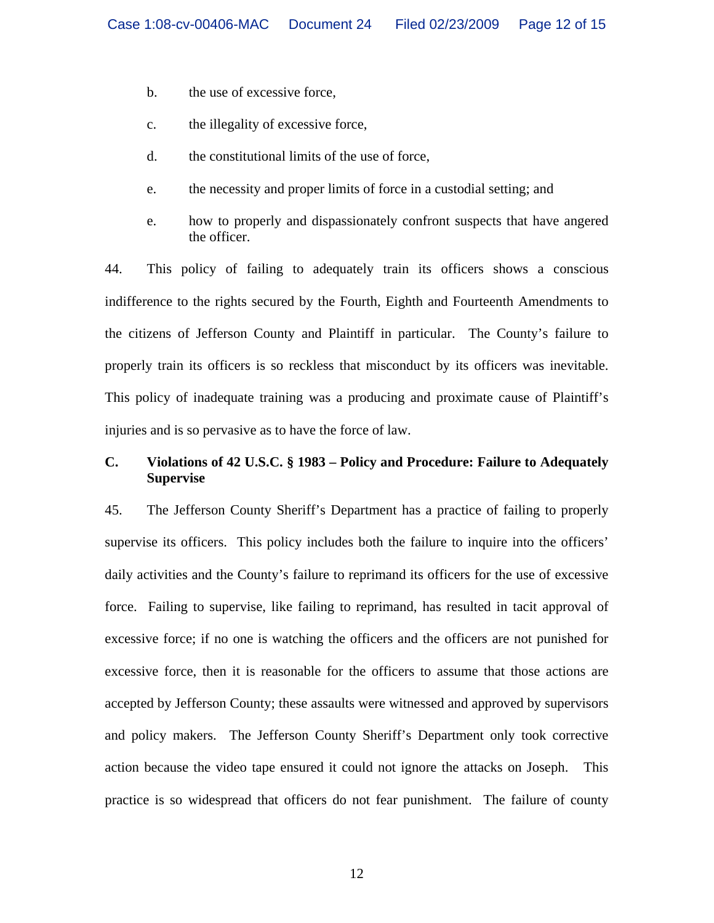- b. the use of excessive force,
- c. the illegality of excessive force,
- d. the constitutional limits of the use of force,
- e. the necessity and proper limits of force in a custodial setting; and
- e. how to properly and dispassionately confront suspects that have angered the officer.

44. This policy of failing to adequately train its officers shows a conscious indifference to the rights secured by the Fourth, Eighth and Fourteenth Amendments to the citizens of Jefferson County and Plaintiff in particular. The County's failure to properly train its officers is so reckless that misconduct by its officers was inevitable. This policy of inadequate training was a producing and proximate cause of Plaintiff's injuries and is so pervasive as to have the force of law.

# **C. Violations of 42 U.S.C. § 1983 – Policy and Procedure: Failure to Adequately Supervise**

45. The Jefferson County Sheriff's Department has a practice of failing to properly supervise its officers. This policy includes both the failure to inquire into the officers' daily activities and the County's failure to reprimand its officers for the use of excessive force. Failing to supervise, like failing to reprimand, has resulted in tacit approval of excessive force; if no one is watching the officers and the officers are not punished for excessive force, then it is reasonable for the officers to assume that those actions are accepted by Jefferson County; these assaults were witnessed and approved by supervisors and policy makers. The Jefferson County Sheriff's Department only took corrective action because the video tape ensured it could not ignore the attacks on Joseph. This practice is so widespread that officers do not fear punishment. The failure of county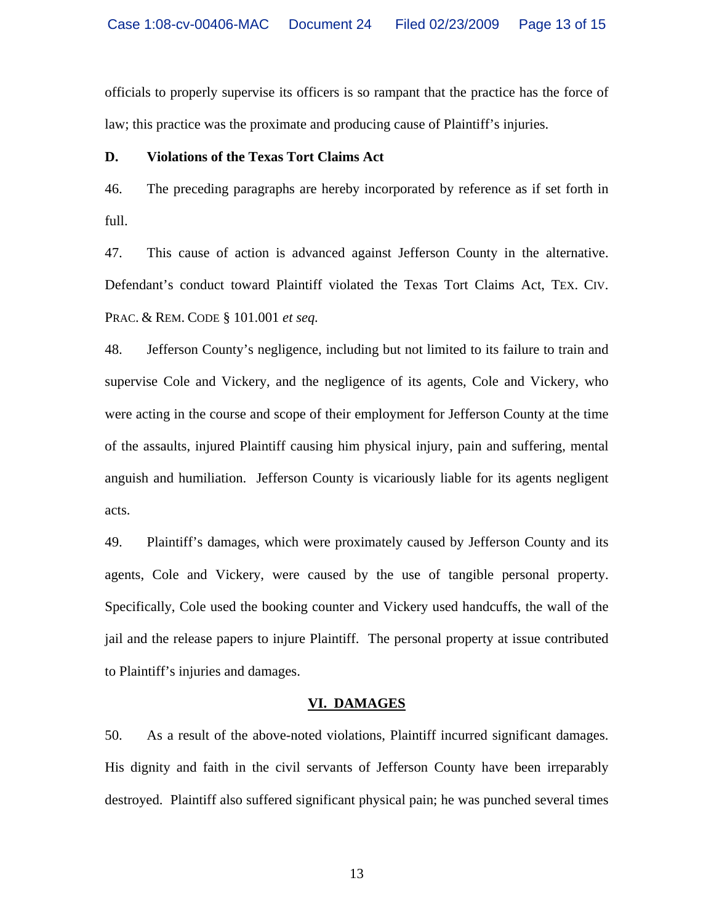officials to properly supervise its officers is so rampant that the practice has the force of law; this practice was the proximate and producing cause of Plaintiff's injuries.

### **D. Violations of the Texas Tort Claims Act**

46. The preceding paragraphs are hereby incorporated by reference as if set forth in full.

47. This cause of action is advanced against Jefferson County in the alternative. Defendant's conduct toward Plaintiff violated the Texas Tort Claims Act, TEX. CIV. PRAC. & REM. CODE § 101.001 *et seq.*

48. Jefferson County's negligence, including but not limited to its failure to train and supervise Cole and Vickery, and the negligence of its agents, Cole and Vickery, who were acting in the course and scope of their employment for Jefferson County at the time of the assaults, injured Plaintiff causing him physical injury, pain and suffering, mental anguish and humiliation. Jefferson County is vicariously liable for its agents negligent acts.

49. Plaintiff's damages, which were proximately caused by Jefferson County and its agents, Cole and Vickery, were caused by the use of tangible personal property. Specifically, Cole used the booking counter and Vickery used handcuffs, the wall of the jail and the release papers to injure Plaintiff. The personal property at issue contributed to Plaintiff's injuries and damages.

### **VI. DAMAGES**

50. As a result of the above-noted violations, Plaintiff incurred significant damages. His dignity and faith in the civil servants of Jefferson County have been irreparably destroyed. Plaintiff also suffered significant physical pain; he was punched several times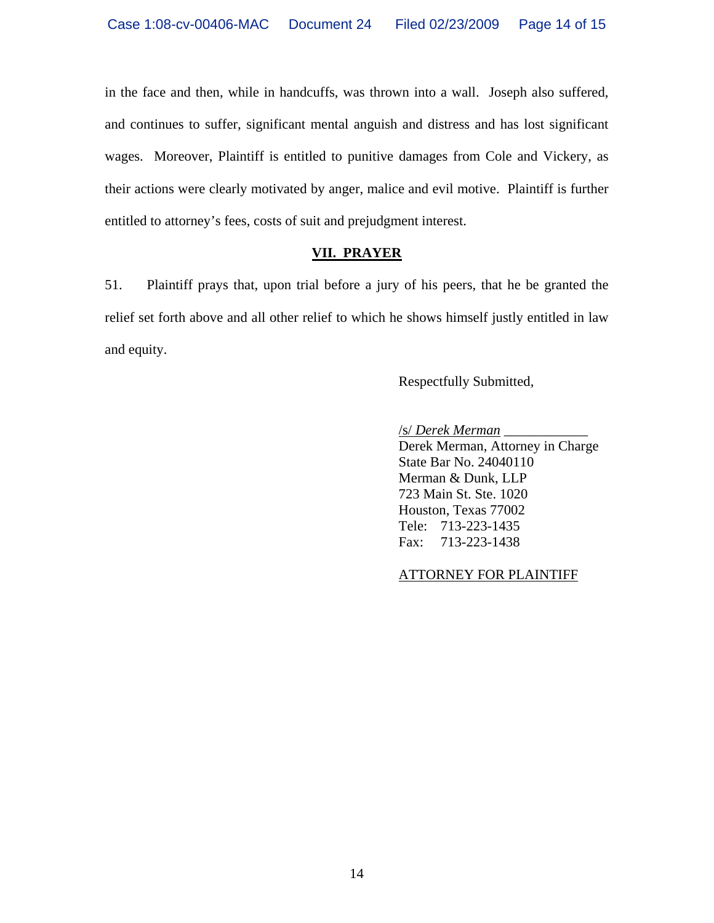in the face and then, while in handcuffs, was thrown into a wall. Joseph also suffered, and continues to suffer, significant mental anguish and distress and has lost significant wages. Moreover, Plaintiff is entitled to punitive damages from Cole and Vickery, as their actions were clearly motivated by anger, malice and evil motive. Plaintiff is further entitled to attorney's fees, costs of suit and prejudgment interest.

# **VII. PRAYER**

51. Plaintiff prays that, upon trial before a jury of his peers, that he be granted the relief set forth above and all other relief to which he shows himself justly entitled in law and equity.

Respectfully Submitted,

 /s/ *Derek Merman* \_\_\_\_\_\_\_\_\_\_\_\_ Derek Merman, Attorney in Charge State Bar No. 24040110 Merman & Dunk, LLP 723 Main St. Ste. 1020 Houston, Texas 77002 Tele: 713-223-1435 Fax: 713-223-1438

ATTORNEY FOR PLAINTIFF